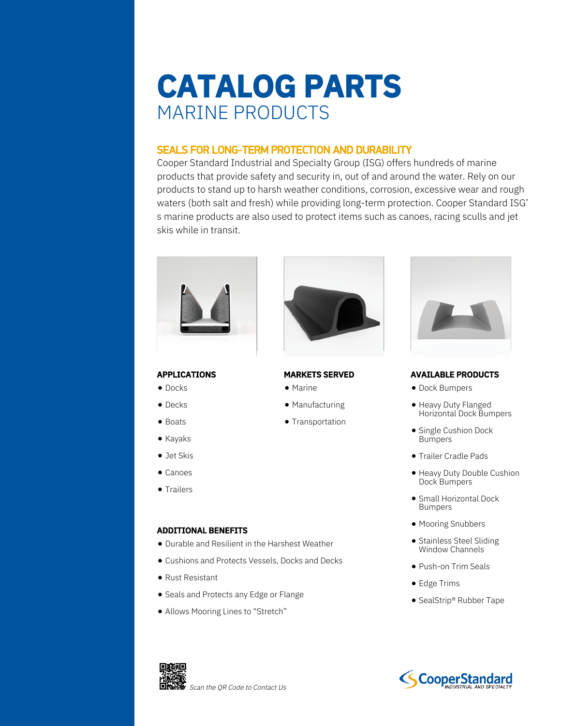# **CATALOG PARTS** MARINE PRODUCTS

# SEALS FOR LONG-TERM PROTECTION AND DURABILITY

Cooper Standard Industrial and Specialty Group (ISG) offers hundreds of marine products that provide safety and security in, out of and around the water. Rely on our products to stand up to harsh weather conditions, corrosion, excessive wear and rough waters (both salt and fresh) while providing long-term protection. Cooper Standard ISG' s marine products are also used to protect items such as canoes, racing sculls and jet skis while in transit.



### APPLICATIONS

- Docks
- Decks
- $\bullet$  Boats
- $\bullet$  Kayaks
- Jet Skis
- Canoes
- Trailers

#### ADDITIONAL BENEFITS

- Durable and Resilient in the Harshest Weather
- Cushions and Protects Vessels, Docks and Decks
- Rust Resistant
- **•** Seals and Protects any Edge or Flange
- Allows Mooring Lines to "Stretch"



### MARKETS SERVED

- Marine
- Manufacturing
- **Transportation**



## AVAILABLE PRODUCTS

- Dock Bumpers
- Heavy Duty Flanged Horizontal Dock Bumpers
- Single Cushion Dock Bumpers
- Trailer Cradle Pads
- Heavy Duty Double Cushion Dock Bumpers
- Small Horizontal Dock Bumpers
- Mooring Snubbers
- Stainless Steel Sliding Window Channels
- Push-on Trim Seals
- Edge Trims
- SealStrip® Rubber Tape



Scan the QR Code to Contact Us

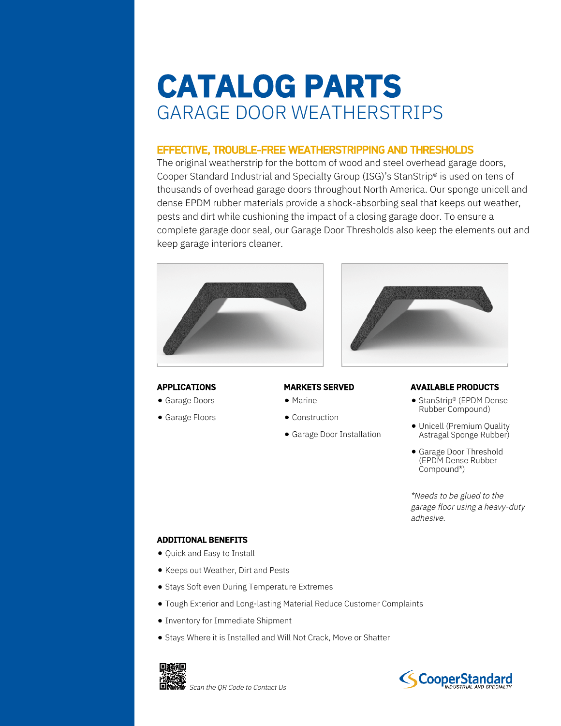# **CATALOG PARTS** GARAGE DOOR WEATHERSTRIPS

# EFFECTIVE, TROUBLE-FREE WEATHERSTRIPPING AND THRESHOLDS

The original weatherstrip for the bottom of wood and steel overhead garage doors, Cooper Standard Industrial and Specialty Group (ISG)'s StanStrip® is used on tens of thousands of overhead garage doors throughout North America. Our sponge unicell and dense EPDM rubber materials provide a shock-absorbing seal that keeps out weather, pests and dirt while cushioning the impact of a closing garage door. To ensure a complete garage door seal, our Garage Door Thresholds also keep the elements out and keep garage interiors cleaner.





### APPLICATIONS

- Garage Doors
- Garage Floors

### MARKETS SERVED

- Marine
- Construction
- Garage Door Installation

#### AVAILABLE PRODUCTS

- StanStrip® (EPDM Dense Rubber Compound)
- Unicell (Premium Ouality Astragal Sponge Rubber)
- Garage Door Threshold (EPDM Dense Rubber Compound\*)

\*Needs to be glued to the garage floor using a heavy-duty adhesive.

## ADDITIONAL BENEFITS

- Quick and Easy to Install
- Keeps out Weather, Dirt and Pests
- **Stays Soft even During Temperature Extremes**
- Tough Exterior and Long-lasting Material Reduce Customer Complaints
- **Inventory for Immediate Shipment**
- **•** Stays Where it is Installed and Will Not Crack, Move or Shatter



Scan the QR Code to Contact Us